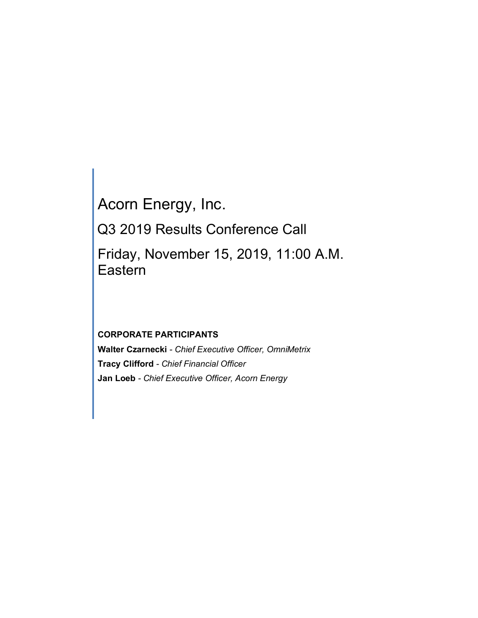Acorn Energy, Inc. Q3 2019 Results Conference Call Friday, November 15, 2019, 11:00 A.M. Eastern

# **CORPORATE PARTICIPANTS**

**Walter Czarnecki** *- Chief Executive Officer, OmniMetrix* **Tracy Clifford** *- Chief Financial Officer* **Jan Loeb** *- Chief Executive Officer, Acorn Energy*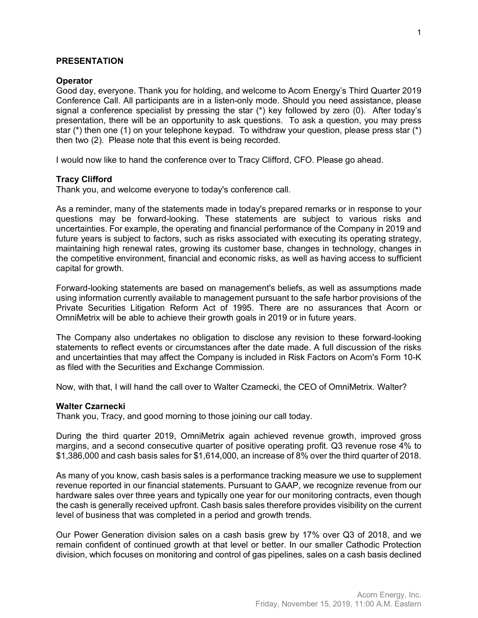## **PRESENTATION**

#### **Operator**

Good day, everyone. Thank you for holding, and welcome to Acorn Energy's Third Quarter 2019 Conference Call. All participants are in a listen-only mode. Should you need assistance, please signal a conference specialist by pressing the star (\*) key followed by zero (0). After today's presentation, there will be an opportunity to ask questions. To ask a question, you may press star (\*) then one (1) on your telephone keypad. To withdraw your question, please press star (\*) then two (2). Please note that this event is being recorded.

I would now like to hand the conference over to Tracy Clifford, CFO. Please go ahead.

## **Tracy Clifford**

Thank you, and welcome everyone to today's conference call.

As a reminder, many of the statements made in today's prepared remarks or in response to your questions may be forward-looking. These statements are subject to various risks and uncertainties. For example, the operating and financial performance of the Company in 2019 and future years is subject to factors, such as risks associated with executing its operating strategy, maintaining high renewal rates, growing its customer base, changes in technology, changes in the competitive environment, financial and economic risks, as well as having access to sufficient capital for growth.

Forward-looking statements are based on management's beliefs, as well as assumptions made using information currently available to management pursuant to the safe harbor provisions of the Private Securities Litigation Reform Act of 1995. There are no assurances that Acorn or OmniMetrix will be able to achieve their growth goals in 2019 or in future years.

The Company also undertakes no obligation to disclose any revision to these forward-looking statements to reflect events or circumstances after the date made. A full discussion of the risks and uncertainties that may affect the Company is included in Risk Factors on Acorn's Form 10-K as filed with the Securities and Exchange Commission.

Now, with that, I will hand the call over to Walter Czarnecki, the CEO of OmniMetrix. Walter?

#### **Walter Czarnecki**

Thank you, Tracy, and good morning to those joining our call today.

During the third quarter 2019, OmniMetrix again achieved revenue growth, improved gross margins, and a second consecutive quarter of positive operating profit. Q3 revenue rose 4% to \$1,386,000 and cash basis sales for \$1,614,000, an increase of 8% over the third quarter of 2018.

As many of you know, cash basis sales is a performance tracking measure we use to supplement revenue reported in our financial statements. Pursuant to GAAP, we recognize revenue from our hardware sales over three years and typically one year for our monitoring contracts, even though the cash is generally received upfront. Cash basis sales therefore provides visibility on the current level of business that was completed in a period and growth trends.

Our Power Generation division sales on a cash basis grew by 17% over Q3 of 2018, and we remain confident of continued growth at that level or better. In our smaller Cathodic Protection division, which focuses on monitoring and control of gas pipelines, sales on a cash basis declined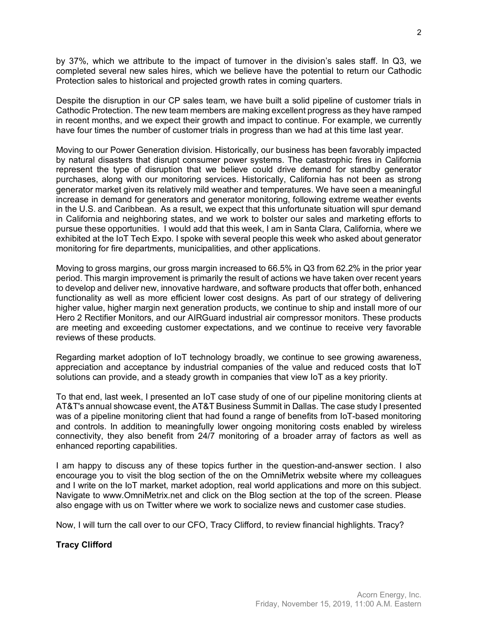by 37%, which we attribute to the impact of turnover in the division's sales staff. In Q3, we completed several new sales hires, which we believe have the potential to return our Cathodic Protection sales to historical and projected growth rates in coming quarters.

Despite the disruption in our CP sales team, we have built a solid pipeline of customer trials in Cathodic Protection. The new team members are making excellent progress as they have ramped in recent months, and we expect their growth and impact to continue. For example, we currently have four times the number of customer trials in progress than we had at this time last year.

Moving to our Power Generation division. Historically, our business has been favorably impacted by natural disasters that disrupt consumer power systems. The catastrophic fires in California represent the type of disruption that we believe could drive demand for standby generator purchases, along with our monitoring services. Historically, California has not been as strong generator market given its relatively mild weather and temperatures. We have seen a meaningful increase in demand for generators and generator monitoring, following extreme weather events in the U.S. and Caribbean. As a result, we expect that this unfortunate situation will spur demand in California and neighboring states, and we work to bolster our sales and marketing efforts to pursue these opportunities. I would add that this week, I am in Santa Clara, California, where we exhibited at the IoT Tech Expo. I spoke with several people this week who asked about generator monitoring for fire departments, municipalities, and other applications.

Moving to gross margins, our gross margin increased to 66.5% in Q3 from 62.2% in the prior year period. This margin improvement is primarily the result of actions we have taken over recent years to develop and deliver new, innovative hardware, and software products that offer both, enhanced functionality as well as more efficient lower cost designs. As part of our strategy of delivering higher value, higher margin next generation products, we continue to ship and install more of our Hero 2 Rectifier Monitors, and our AIRGuard industrial air compressor monitors. These products are meeting and exceeding customer expectations, and we continue to receive very favorable reviews of these products.

Regarding market adoption of IoT technology broadly, we continue to see growing awareness, appreciation and acceptance by industrial companies of the value and reduced costs that IoT solutions can provide, and a steady growth in companies that view IoT as a key priority.

To that end, last week, I presented an IoT case study of one of our pipeline monitoring clients at AT&T's annual showcase event, the AT&T Business Summit in Dallas. The case study I presented was of a pipeline monitoring client that had found a range of benefits from IoT-based monitoring and controls. In addition to meaningfully lower ongoing monitoring costs enabled by wireless connectivity, they also benefit from 24/7 monitoring of a broader array of factors as well as enhanced reporting capabilities.

I am happy to discuss any of these topics further in the question-and-answer section. I also encourage you to visit the blog section of the on the OmniMetrix website where my colleagues and I write on the IoT market, market adoption, real world applications and more on this subject. Navigate to www.OmniMetrix.net and click on the Blog section at the top of the screen. Please also engage with us on Twitter where we work to socialize news and customer case studies.

Now, I will turn the call over to our CFO, Tracy Clifford, to review financial highlights. Tracy?

**Tracy Clifford**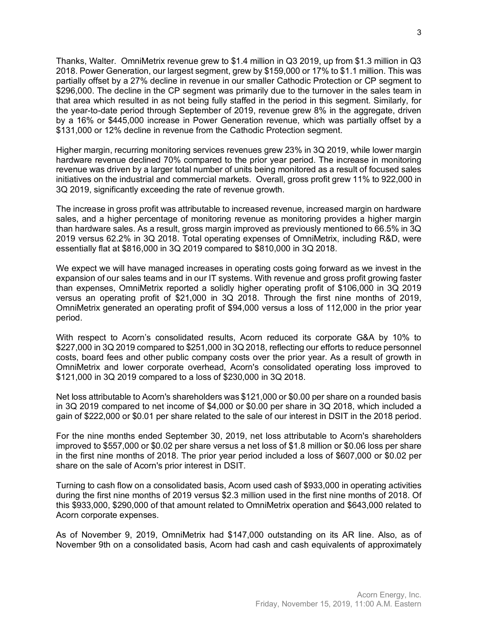Thanks, Walter. OmniMetrix revenue grew to \$1.4 million in Q3 2019, up from \$1.3 million in Q3 2018. Power Generation, our largest segment, grew by \$159,000 or 17% to \$1.1 million. This was partially offset by a 27% decline in revenue in our smaller Cathodic Protection or CP segment to \$296,000. The decline in the CP segment was primarily due to the turnover in the sales team in that area which resulted in as not being fully staffed in the period in this segment. Similarly, for the year-to-date period through September of 2019, revenue grew 8% in the aggregate, driven by a 16% or \$445,000 increase in Power Generation revenue, which was partially offset by a \$131,000 or 12% decline in revenue from the Cathodic Protection segment.

Higher margin, recurring monitoring services revenues grew 23% in 3Q 2019, while lower margin hardware revenue declined 70% compared to the prior year period. The increase in monitoring revenue was driven by a larger total number of units being monitored as a result of focused sales initiatives on the industrial and commercial markets. Overall, gross profit grew 11% to 922,000 in 3Q 2019, significantly exceeding the rate of revenue growth.

The increase in gross profit was attributable to increased revenue, increased margin on hardware sales, and a higher percentage of monitoring revenue as monitoring provides a higher margin than hardware sales. As a result, gross margin improved as previously mentioned to 66.5% in 3Q 2019 versus 62.2% in 3Q 2018. Total operating expenses of OmniMetrix, including R&D, were essentially flat at \$816,000 in 3Q 2019 compared to \$810,000 in 3Q 2018.

We expect we will have managed increases in operating costs going forward as we invest in the expansion of our sales teams and in our IT systems. With revenue and gross profit growing faster than expenses, OmniMetrix reported a solidly higher operating profit of \$106,000 in 3Q 2019 versus an operating profit of \$21,000 in 3Q 2018. Through the first nine months of 2019, OmniMetrix generated an operating profit of \$94,000 versus a loss of 112,000 in the prior year period.

With respect to Acorn's consolidated results, Acorn reduced its corporate G&A by 10% to \$227,000 in 3Q 2019 compared to \$251,000 in 3Q 2018, reflecting our efforts to reduce personnel costs, board fees and other public company costs over the prior year. As a result of growth in OmniMetrix and lower corporate overhead, Acorn's consolidated operating loss improved to \$121,000 in 3Q 2019 compared to a loss of \$230,000 in 3Q 2018.

Net loss attributable to Acorn's shareholders was \$121,000 or \$0.00 per share on a rounded basis in 3Q 2019 compared to net income of \$4,000 or \$0.00 per share in 3Q 2018, which included a gain of \$222,000 or \$0.01 per share related to the sale of our interest in DSIT in the 2018 period.

For the nine months ended September 30, 2019, net loss attributable to Acorn's shareholders improved to \$557,000 or \$0.02 per share versus a net loss of \$1.8 million or \$0.06 loss per share in the first nine months of 2018. The prior year period included a loss of \$607,000 or \$0.02 per share on the sale of Acorn's prior interest in DSIT.

Turning to cash flow on a consolidated basis, Acorn used cash of \$933,000 in operating activities during the first nine months of 2019 versus \$2.3 million used in the first nine months of 2018. Of this \$933,000, \$290,000 of that amount related to OmniMetrix operation and \$643,000 related to Acorn corporate expenses.

As of November 9, 2019, OmniMetrix had \$147,000 outstanding on its AR line. Also, as of November 9th on a consolidated basis, Acorn had cash and cash equivalents of approximately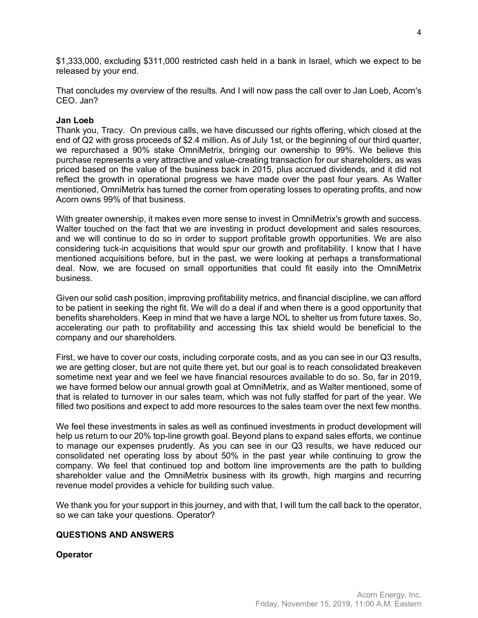\$1,333,000, excluding \$311,000 restricted cash held in a bank in Israel, which we expect to be released by your end.

That concludes my overview of the results. And I will now pass the call over to Jan Loeb, Acorn's CEO. Jan?

## **Jan Loeb**

Thank you, Tracy. On previous calls, we have discussed our rights offering, which closed at the end of Q2 with gross proceeds of \$2.4 million. As of July 1st, or the beginning of our third quarter, we repurchased a 90% stake OmniMetrix, bringing our ownership to 99%. We believe this purchase represents a very attractive and value-creating transaction for our shareholders, as was priced based on the value of the business back in 2015, plus accrued dividends, and it did not reflect the growth in operational progress we have made over the past four years. As Walter mentioned, OmniMetrix has turned the corner from operating losses to operating profits, and now Acorn owns 99% of that business.

With greater ownership, it makes even more sense to invest in OmniMetrix's growth and success. Walter touched on the fact that we are investing in product development and sales resources, and we will continue to do so in order to support profitable growth opportunities. We are also considering tuck-in acquisitions that would spur our growth and profitability. I know that I have mentioned acquisitions before, but in the past, we were looking at perhaps a transformational deal. Now, we are focused on small opportunities that could fit easily into the OmniMetrix business.

Given our solid cash position, improving profitability metrics, and financial discipline, we can afford to be patient in seeking the right fit. We will do a deal if and when there is a good opportunity that benefits shareholders. Keep in mind that we have a large NOL to shelter us from future taxes. So, accelerating our path to profitability and accessing this tax shield would be beneficial to the company and our shareholders.

First, we have to cover our costs, including corporate costs, and as you can see in our Q3 results, we are getting closer, but are not quite there yet, but our goal is to reach consolidated breakeven sometime next year and we feel we have financial resources available to do so. So, far in 2019, we have formed below our annual growth goal at OmniMetrix, and as Walter mentioned, some of that is related to turnover in our sales team, which was not fully staffed for part of the year. We filled two positions and expect to add more resources to the sales team over the next few months.

We feel these investments in sales as well as continued investments in product development will help us return to our 20% top-line growth goal. Beyond plans to expand sales efforts, we continue to manage our expenses prudently. As you can see in our Q3 results, we have reduced our consolidated net operating loss by about 50% in the past year while continuing to grow the company. We feel that continued top and bottom line improvements are the path to building shareholder value and the OmniMetrix business with its growth, high margins and recurring revenue model provides a vehicle for building such value.

We thank you for your support in this journey, and with that, I will turn the call back to the operator, so we can take your questions. Operator?

## **QUESTIONS AND ANSWERS**

**Operator**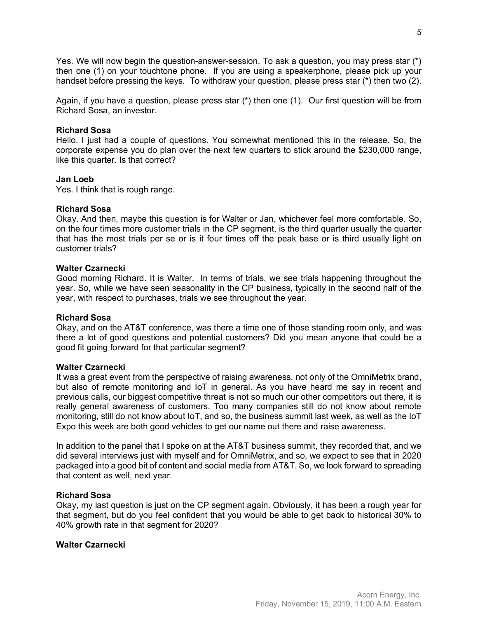Yes. We will now begin the question-answer-session. To ask a question, you may press star (\*) then one (1) on your touchtone phone. If you are using a speakerphone, please pick up your handset before pressing the keys. To withdraw your question, please press star (\*) then two (2).

Again, if you have a question, please press star (\*) then one (1). Our first question will be from Richard Sosa, an investor.

## **Richard Sosa**

Hello. I just had a couple of questions. You somewhat mentioned this in the release. So, the corporate expense you do plan over the next few quarters to stick around the \$230,000 range, like this quarter. Is that correct?

## **Jan Loeb**

Yes. I think that is rough range.

## **Richard Sosa**

Okay. And then, maybe this question is for Walter or Jan, whichever feel more comfortable. So, on the four times more customer trials in the CP segment, is the third quarter usually the quarter that has the most trials per se or is it four times off the peak base or is third usually light on customer trials?

## **Walter Czarnecki**

Good morning Richard. It is Walter. In terms of trials, we see trials happening throughout the year. So, while we have seen seasonality in the CP business, typically in the second half of the year, with respect to purchases, trials we see throughout the year.

#### **Richard Sosa**

Okay, and on the AT&T conference, was there a time one of those standing room only, and was there a lot of good questions and potential customers? Did you mean anyone that could be a good fit going forward for that particular segment?

#### **Walter Czarnecki**

It was a great event from the perspective of raising awareness, not only of the OmniMetrix brand, but also of remote monitoring and IoT in general. As you have heard me say in recent and previous calls, our biggest competitive threat is not so much our other competitors out there, it is really general awareness of customers. Too many companies still do not know about remote monitoring, still do not know about IoT, and so, the business summit last week, as well as the IoT Expo this week are both good vehicles to get our name out there and raise awareness.

In addition to the panel that I spoke on at the AT&T business summit, they recorded that, and we did several interviews just with myself and for OmniMetrix, and so, we expect to see that in 2020 packaged into a good bit of content and social media from AT&T. So, we look forward to spreading that content as well, next year.

#### **Richard Sosa**

Okay, my last question is just on the CP segment again. Obviously, it has been a rough year for that segment, but do you feel confident that you would be able to get back to historical 30% to 40% growth rate in that segment for 2020?

## **Walter Czarnecki**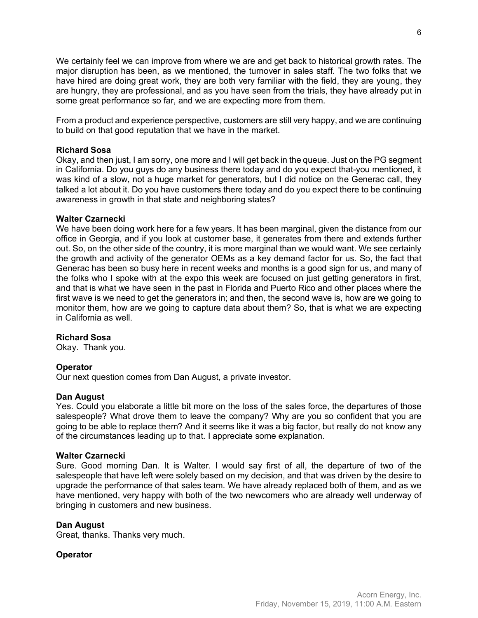We certainly feel we can improve from where we are and get back to historical growth rates. The major disruption has been, as we mentioned, the turnover in sales staff. The two folks that we have hired are doing great work, they are both very familiar with the field, they are young, they are hungry, they are professional, and as you have seen from the trials, they have already put in some great performance so far, and we are expecting more from them.

From a product and experience perspective, customers are still very happy, and we are continuing to build on that good reputation that we have in the market.

## **Richard Sosa**

Okay, and then just, I am sorry, one more and I will get back in the queue. Just on the PG segment in California. Do you guys do any business there today and do you expect that-you mentioned, it was kind of a slow, not a huge market for generators, but I did notice on the Generac call, they talked a lot about it. Do you have customers there today and do you expect there to be continuing awareness in growth in that state and neighboring states?

## **Walter Czarnecki**

We have been doing work here for a few years. It has been marginal, given the distance from our office in Georgia, and if you look at customer base, it generates from there and extends further out. So, on the other side of the country, it is more marginal than we would want. We see certainly the growth and activity of the generator OEMs as a key demand factor for us. So, the fact that Generac has been so busy here in recent weeks and months is a good sign for us, and many of the folks who I spoke with at the expo this week are focused on just getting generators in first, and that is what we have seen in the past in Florida and Puerto Rico and other places where the first wave is we need to get the generators in; and then, the second wave is, how are we going to monitor them, how are we going to capture data about them? So, that is what we are expecting in California as well.

# **Richard Sosa**

Okay. Thank you.

# **Operator**

Our next question comes from Dan August, a private investor.

## **Dan August**

Yes. Could you elaborate a little bit more on the loss of the sales force, the departures of those salespeople? What drove them to leave the company? Why are you so confident that you are going to be able to replace them? And it seems like it was a big factor, but really do not know any of the circumstances leading up to that. I appreciate some explanation.

## **Walter Czarnecki**

Sure. Good morning Dan. It is Walter. I would say first of all, the departure of two of the salespeople that have left were solely based on my decision, and that was driven by the desire to upgrade the performance of that sales team. We have already replaced both of them, and as we have mentioned, very happy with both of the two newcomers who are already well underway of bringing in customers and new business.

## **Dan August**

Great, thanks. Thanks very much.

## **Operator**